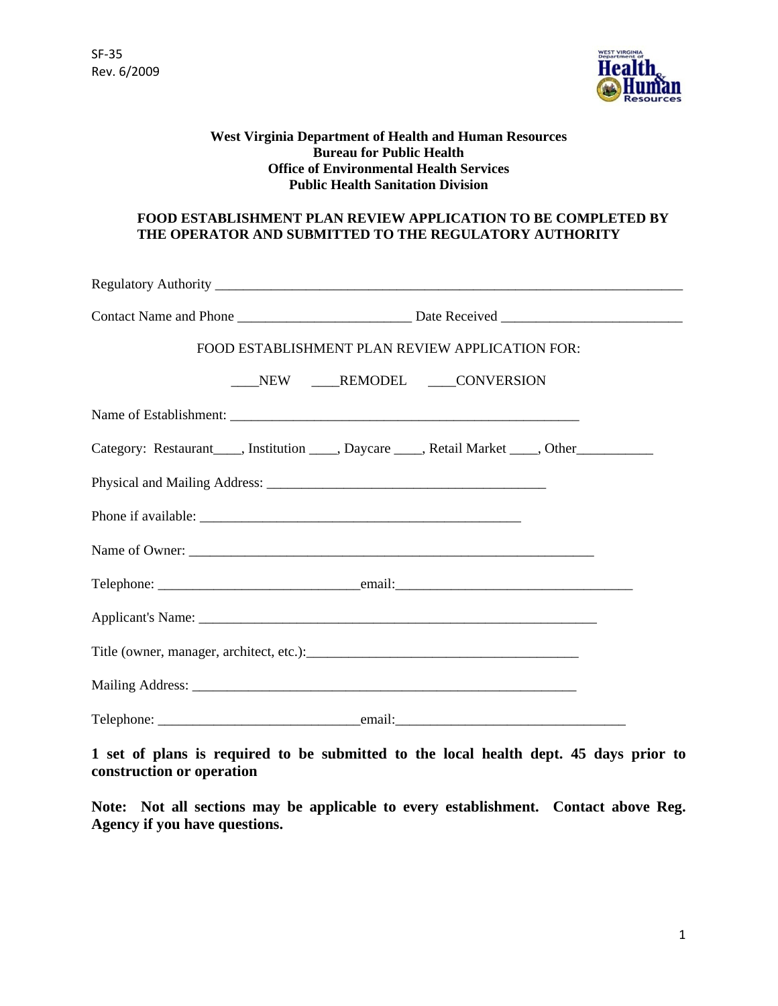

## **West Virginia Department of Health and Human Resources Bureau for Public Health Office of Environmental Health Services Public Health Sanitation Division**

# **FOOD ESTABLISHMENT PLAN REVIEW APPLICATION TO BE COMPLETED BY THE OPERATOR AND SUBMITTED TO THE REGULATORY AUTHORITY**

| FOOD ESTABLISHMENT PLAN REVIEW APPLICATION FOR: |  |
|-------------------------------------------------|--|
| NEW ____REMODEL ____CONVERSION                  |  |
|                                                 |  |
|                                                 |  |
|                                                 |  |
|                                                 |  |
|                                                 |  |
|                                                 |  |
|                                                 |  |
|                                                 |  |
|                                                 |  |
|                                                 |  |

**1 set of plans is required to be submitted to the local health dept. 45 days prior to construction or operation** 

**Note: Not all sections may be applicable to every establishment. Contact above Reg. Agency if you have questions.**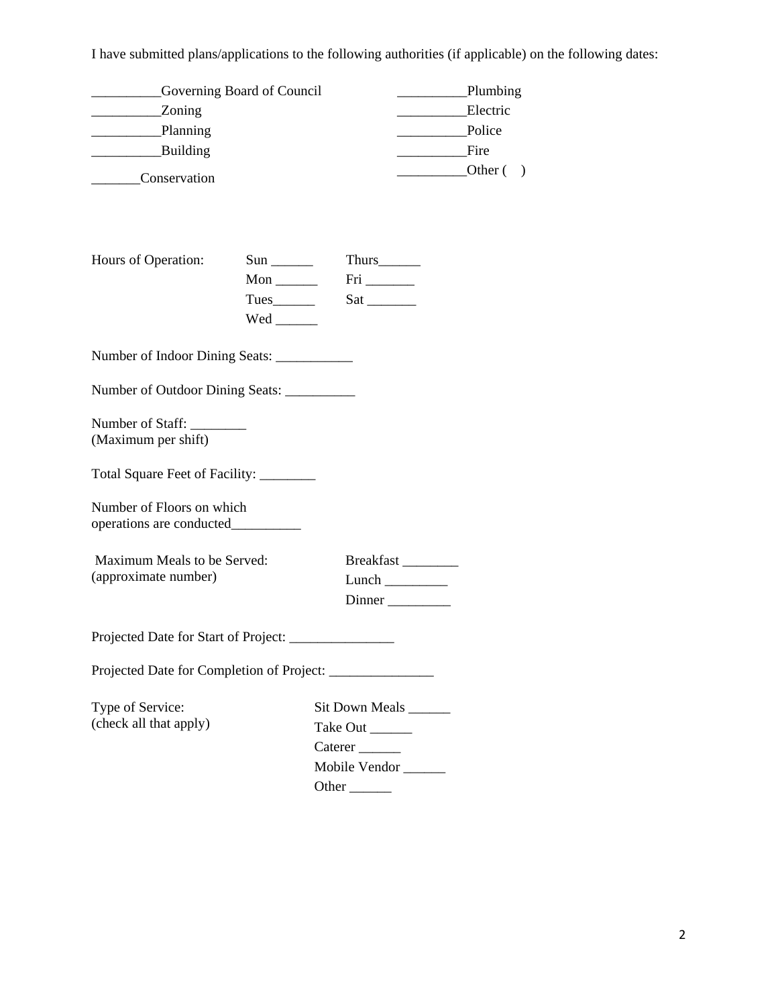I have submitted plans/applications to the following authorities (if applicable) on the following dates:

| <b>Example 3</b> Governing Board of Council<br>_______________Zoning<br>Building<br><b>Conservation</b> |                                                                     |                                                                    | Plumbing<br>Electric<br>Police<br>Fire<br>$\overline{\phantom{a}}$ Other () |
|---------------------------------------------------------------------------------------------------------|---------------------------------------------------------------------|--------------------------------------------------------------------|-----------------------------------------------------------------------------|
| Hours of Operation:                                                                                     | $Sun$ <sub>________</sub><br>Mon $\_\_$<br>$Wed$ <sub>_______</sub> | Fig. 27522227                                                      |                                                                             |
|                                                                                                         |                                                                     |                                                                    |                                                                             |
| Number of Outdoor Dining Seats: ___________                                                             |                                                                     |                                                                    |                                                                             |
| Number of Staff:<br>(Maximum per shift)                                                                 |                                                                     |                                                                    |                                                                             |
| Total Square Feet of Facility: ________                                                                 |                                                                     |                                                                    |                                                                             |
| Number of Floors on which                                                                               |                                                                     |                                                                    |                                                                             |
| Maximum Meals to be Served:<br>(approximate number)                                                     |                                                                     | Breakfast                                                          |                                                                             |
| Projected Date for Start of Project:                                                                    |                                                                     |                                                                    |                                                                             |
| Projected Date for Completion of Project: _______________                                               |                                                                     |                                                                    |                                                                             |
| Type of Service:<br>(check all that apply)                                                              |                                                                     | Sit Down Meals<br>Take Out ______<br>Mobile Vendor<br>Other $\_\_$ |                                                                             |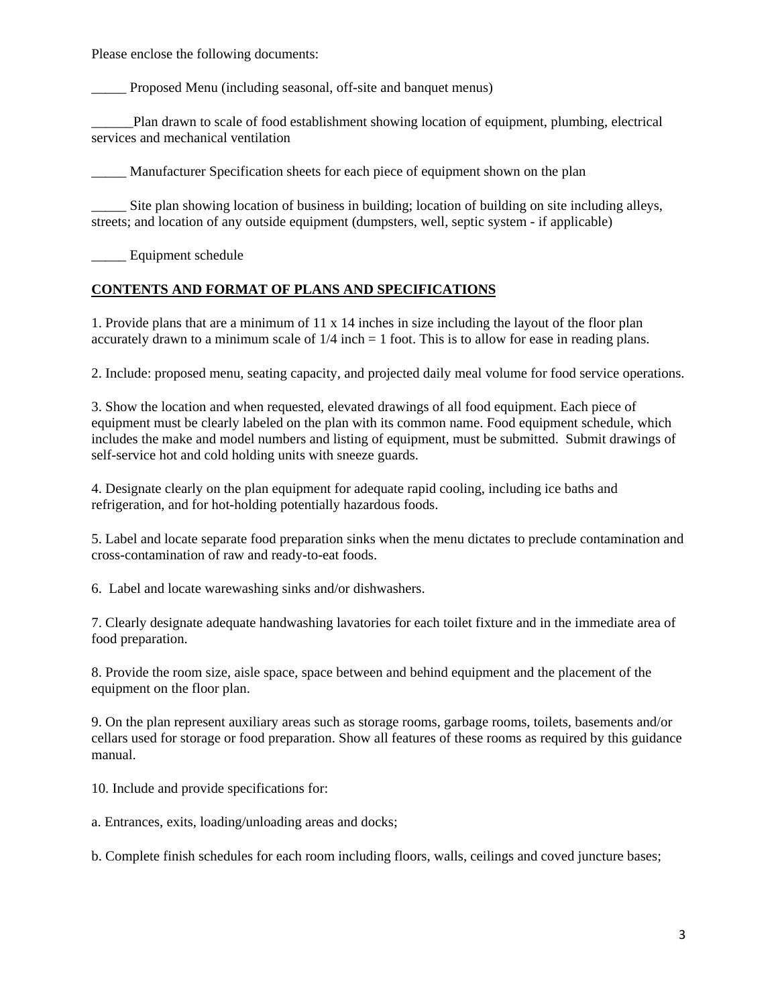Please enclose the following documents:

Proposed Menu (including seasonal, off-site and banquet menus)

\_\_\_\_\_\_Plan drawn to scale of food establishment showing location of equipment, plumbing, electrical services and mechanical ventilation

\_\_\_\_\_ Manufacturer Specification sheets for each piece of equipment shown on the plan

Site plan showing location of business in building; location of building on site including alleys, streets; and location of any outside equipment (dumpsters, well, septic system - if applicable)

Equipment schedule

# **CONTENTS AND FORMAT OF PLANS AND SPECIFICATIONS**

1. Provide plans that are a minimum of 11 x 14 inches in size including the layout of the floor plan accurately drawn to a minimum scale of  $1/4$  inch  $= 1$  foot. This is to allow for ease in reading plans.

2. Include: proposed menu, seating capacity, and projected daily meal volume for food service operations.

3. Show the location and when requested, elevated drawings of all food equipment. Each piece of equipment must be clearly labeled on the plan with its common name. Food equipment schedule, which includes the make and model numbers and listing of equipment, must be submitted. Submit drawings of self-service hot and cold holding units with sneeze guards.

4. Designate clearly on the plan equipment for adequate rapid cooling, including ice baths and refrigeration, and for hot-holding potentially hazardous foods.

5. Label and locate separate food preparation sinks when the menu dictates to preclude contamination and cross-contamination of raw and ready-to-eat foods.

6. Label and locate warewashing sinks and/or dishwashers.

7. Clearly designate adequate handwashing lavatories for each toilet fixture and in the immediate area of food preparation.

8. Provide the room size, aisle space, space between and behind equipment and the placement of the equipment on the floor plan.

9. On the plan represent auxiliary areas such as storage rooms, garbage rooms, toilets, basements and/or cellars used for storage or food preparation. Show all features of these rooms as required by this guidance manual.

10. Include and provide specifications for:

a. Entrances, exits, loading/unloading areas and docks;

b. Complete finish schedules for each room including floors, walls, ceilings and coved juncture bases;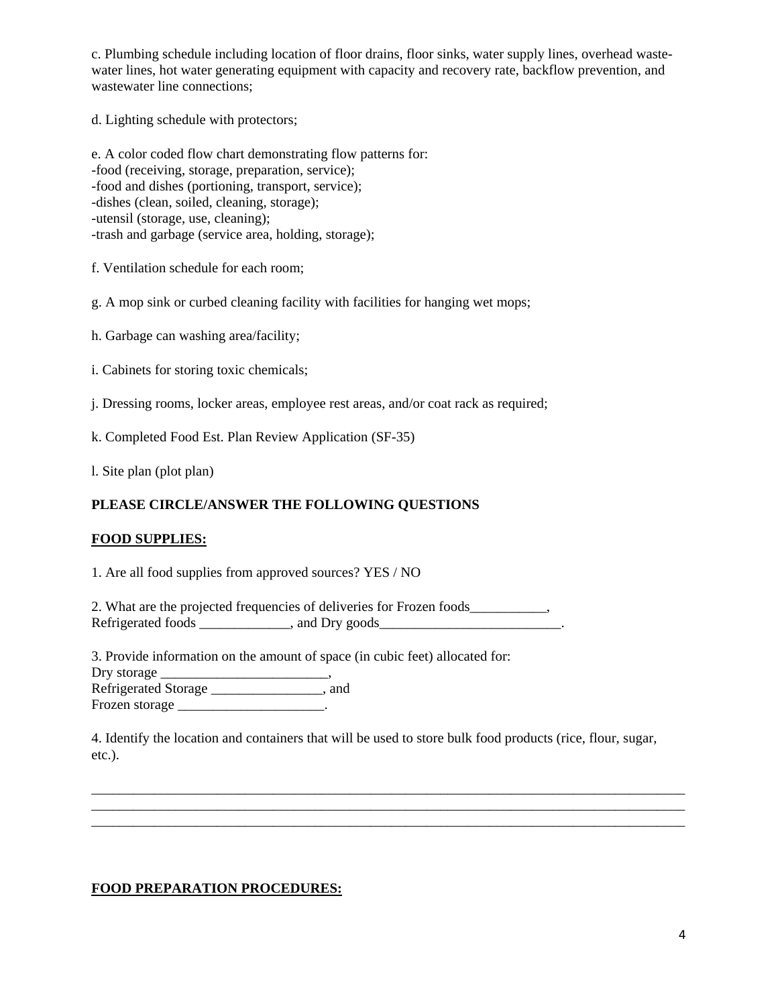c. Plumbing schedule including location of floor drains, floor sinks, water supply lines, overhead wastewater lines, hot water generating equipment with capacity and recovery rate, backflow prevention, and wastewater line connections;

d. Lighting schedule with protectors;

e. A color coded flow chart demonstrating flow patterns for: -food (receiving, storage, preparation, service); -food and dishes (portioning, transport, service); -dishes (clean, soiled, cleaning, storage); -utensil (storage, use, cleaning); -trash and garbage (service area, holding, storage);

f. Ventilation schedule for each room;

g. A mop sink or curbed cleaning facility with facilities for hanging wet mops;

h. Garbage can washing area/facility;

i. Cabinets for storing toxic chemicals;

j. Dressing rooms, locker areas, employee rest areas, and/or coat rack as required;

k. Completed Food Est. Plan Review Application (SF-35)

l. Site plan (plot plan)

#### **PLEASE CIRCLE/ANSWER THE FOLLOWING QUESTIONS**

#### **FOOD SUPPLIES:**

1. Are all food supplies from approved sources? YES / NO

2. What are the projected frequencies of deliveries for Frozen foods\_\_\_\_\_\_\_\_\_\_\_, Refrigerated foods \_\_\_\_\_\_\_\_\_\_\_\_\_, and Dry goods\_\_\_\_\_\_\_\_\_\_\_\_\_\_\_\_\_\_\_\_\_\_\_\_\_\_.

3. Provide information on the amount of space (in cubic feet) allocated for: Dry storage \_\_\_\_\_\_\_\_\_\_\_\_\_\_\_\_\_\_\_\_\_\_\_\_, Refrigerated Storage \_\_\_\_\_\_\_\_\_\_\_\_\_\_\_, and Frozen storage \_\_\_\_\_\_\_\_\_\_\_\_\_\_\_\_\_\_\_\_\_\_.

4. Identify the location and containers that will be used to store bulk food products (rice, flour, sugar, etc.).

\_\_\_\_\_\_\_\_\_\_\_\_\_\_\_\_\_\_\_\_\_\_\_\_\_\_\_\_\_\_\_\_\_\_\_\_\_\_\_\_\_\_\_\_\_\_\_\_\_\_\_\_\_\_\_\_\_\_\_\_\_\_\_\_\_\_\_\_\_\_\_\_\_\_\_\_\_\_\_\_\_\_\_\_\_

\_\_\_\_\_\_\_\_\_\_\_\_\_\_\_\_\_\_\_\_\_\_\_\_\_\_\_\_\_\_\_\_\_\_\_\_\_\_\_\_\_\_\_\_\_\_\_\_\_\_\_\_\_\_\_\_\_\_\_\_\_\_\_\_\_\_\_\_\_\_\_\_\_\_\_\_\_\_\_\_\_\_\_\_\_

#### **FOOD PREPARATION PROCEDURES:**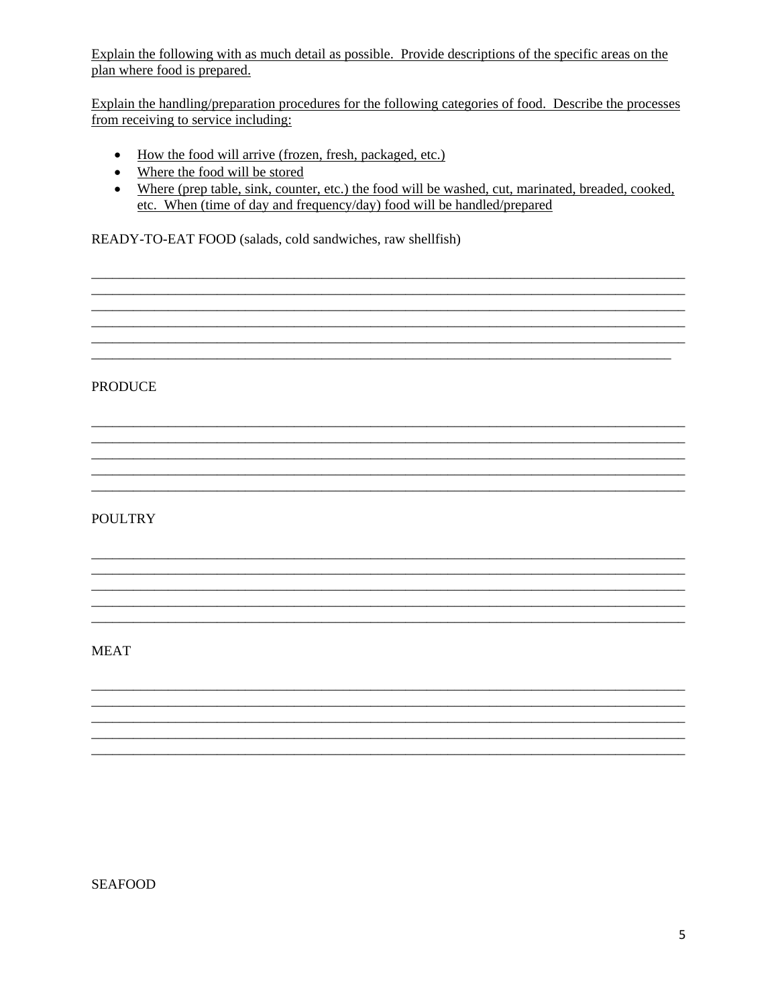Explain the following with as much detail as possible. Provide descriptions of the specific areas on the plan where food is prepared.

Explain the handling/preparation procedures for the following categories of food. Describe the processes from receiving to service including:

- How the food will arrive (frozen, fresh, packaged, etc.)
- Where the food will be stored
- Where (prep table, sink, counter, etc.) the food will be washed, cut, marinated, breaded, cooked, etc. When (time of day and frequency/day) food will be handled/prepared

READY-TO-EAT FOOD (salads, cold sandwiches, raw shellfish)

**PRODUCE** 

# **POULTRY**

**MEAT** 

**SEAFOOD**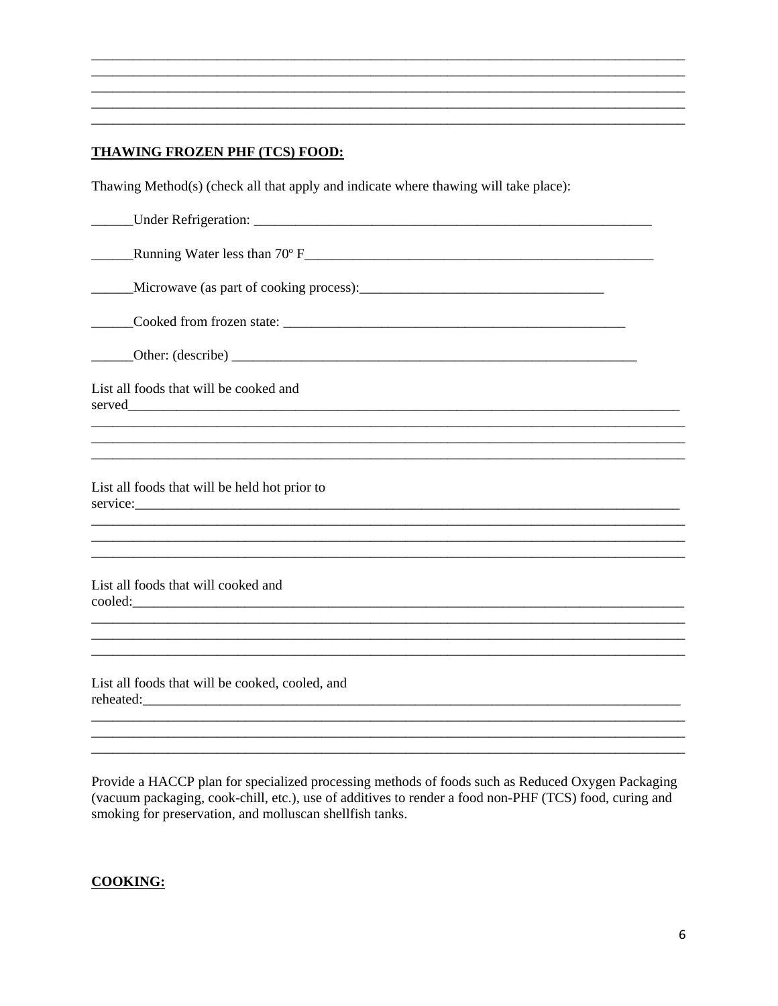# **THAWING FROZEN PHF (TCS) FOOD:**

Thawing Method(s) (check all that apply and indicate where thawing will take place):

| List all foods that will be cooked and          |
|-------------------------------------------------|
|                                                 |
|                                                 |
| List all foods that will be held hot prior to   |
|                                                 |
| List all foods that will cooked and             |
|                                                 |
| List all foods that will be cooked, cooled, and |
|                                                 |

Provide a HACCP plan for specialized processing methods of foods such as Reduced Oxygen Packaging (vacuum packaging, cook-chill, etc.), use of additives to render a food non-PHF (TCS) food, curing and smoking for preservation, and molluscan shellfish tanks.

#### **COOKING:**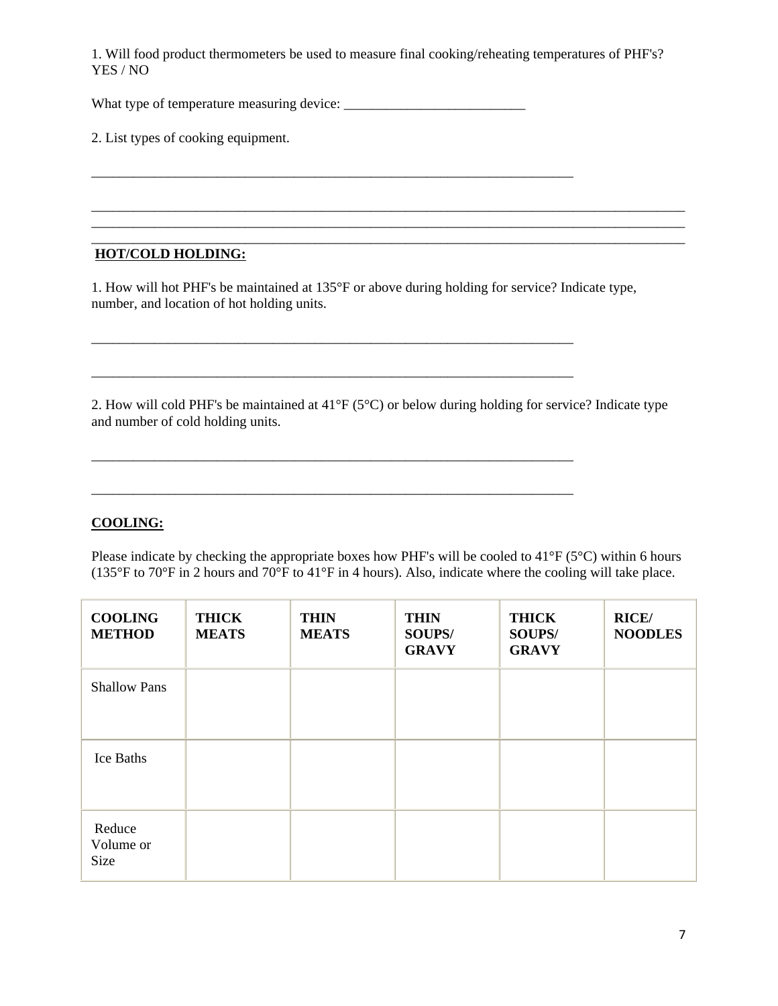1. Will food product thermometers be used to measure final cooking/reheating temperatures of PHF's? YES / NO

\_\_\_\_\_\_\_\_\_\_\_\_\_\_\_\_\_\_\_\_\_\_\_\_\_\_\_\_\_\_\_\_\_\_\_\_\_\_\_\_\_\_\_\_\_\_\_\_\_\_\_\_\_\_\_\_\_\_\_\_\_\_\_\_\_\_\_\_\_

\_\_\_\_\_\_\_\_\_\_\_\_\_\_\_\_\_\_\_\_\_\_\_\_\_\_\_\_\_\_\_\_\_\_\_\_\_\_\_\_\_\_\_\_\_\_\_\_\_\_\_\_\_\_\_\_\_\_\_\_\_\_\_\_\_\_\_\_\_\_\_\_\_\_\_\_\_\_\_\_\_\_\_\_\_ \_\_\_\_\_\_\_\_\_\_\_\_\_\_\_\_\_\_\_\_\_\_\_\_\_\_\_\_\_\_\_\_\_\_\_\_\_\_\_\_\_\_\_\_\_\_\_\_\_\_\_\_\_\_\_\_\_\_\_\_\_\_\_\_\_\_\_\_\_\_\_\_\_\_\_\_\_\_\_\_\_\_\_\_\_

What type of temperature measuring device: \_\_\_\_\_\_\_\_\_\_\_\_\_\_\_\_\_\_\_\_\_\_\_\_\_\_

2. List types of cooking equipment.

#### \_\_\_\_\_\_\_\_\_\_\_\_\_\_\_\_\_\_\_\_\_\_\_\_\_\_\_\_\_\_\_\_\_\_\_\_\_\_\_\_\_\_\_\_\_\_\_\_\_\_\_\_\_\_\_\_\_\_\_\_\_\_\_\_\_\_\_\_\_\_\_\_\_\_\_\_\_\_\_\_\_\_\_\_\_ **HOT/COLD HOLDING:**

1. How will hot PHF's be maintained at 135°F or above during holding for service? Indicate type, number, and location of hot holding units.

\_\_\_\_\_\_\_\_\_\_\_\_\_\_\_\_\_\_\_\_\_\_\_\_\_\_\_\_\_\_\_\_\_\_\_\_\_\_\_\_\_\_\_\_\_\_\_\_\_\_\_\_\_\_\_\_\_\_\_\_\_\_\_\_\_\_\_\_\_

\_\_\_\_\_\_\_\_\_\_\_\_\_\_\_\_\_\_\_\_\_\_\_\_\_\_\_\_\_\_\_\_\_\_\_\_\_\_\_\_\_\_\_\_\_\_\_\_\_\_\_\_\_\_\_\_\_\_\_\_\_\_\_\_\_\_\_\_\_

\_\_\_\_\_\_\_\_\_\_\_\_\_\_\_\_\_\_\_\_\_\_\_\_\_\_\_\_\_\_\_\_\_\_\_\_\_\_\_\_\_\_\_\_\_\_\_\_\_\_\_\_\_\_\_\_\_\_\_\_\_\_\_\_\_\_\_\_\_

2. How will cold PHF's be maintained at 41°F (5°C) or below during holding for service? Indicate type and number of cold holding units.

\_\_\_\_\_\_\_\_\_\_\_\_\_\_\_\_\_\_\_\_\_\_\_\_\_\_\_\_\_\_\_\_\_\_\_\_\_\_\_\_\_\_\_\_\_\_\_\_\_\_\_\_\_\_\_\_\_\_\_\_\_\_\_\_\_\_\_\_\_

# **COOLING:**

Please indicate by checking the appropriate boxes how PHF's will be cooled to  $41^{\circ}F(5^{\circ}C)$  within 6 hours (135°F to 70°F in 2 hours and 70°F to 41°F in 4 hours). Also, indicate where the cooling will take place.

| <b>COOLING</b><br><b>METHOD</b> | <b>THICK</b><br><b>MEATS</b> | <b>THIN</b><br><b>MEATS</b> | <b>THIN</b><br>SOUPS/<br><b>GRAVY</b> | <b>THICK</b><br>SOUPS/<br><b>GRAVY</b> | <b>RICE/</b><br><b>NOODLES</b> |
|---------------------------------|------------------------------|-----------------------------|---------------------------------------|----------------------------------------|--------------------------------|
| <b>Shallow Pans</b>             |                              |                             |                                       |                                        |                                |
| Ice Baths                       |                              |                             |                                       |                                        |                                |
| Reduce<br>Volume or<br>Size     |                              |                             |                                       |                                        |                                |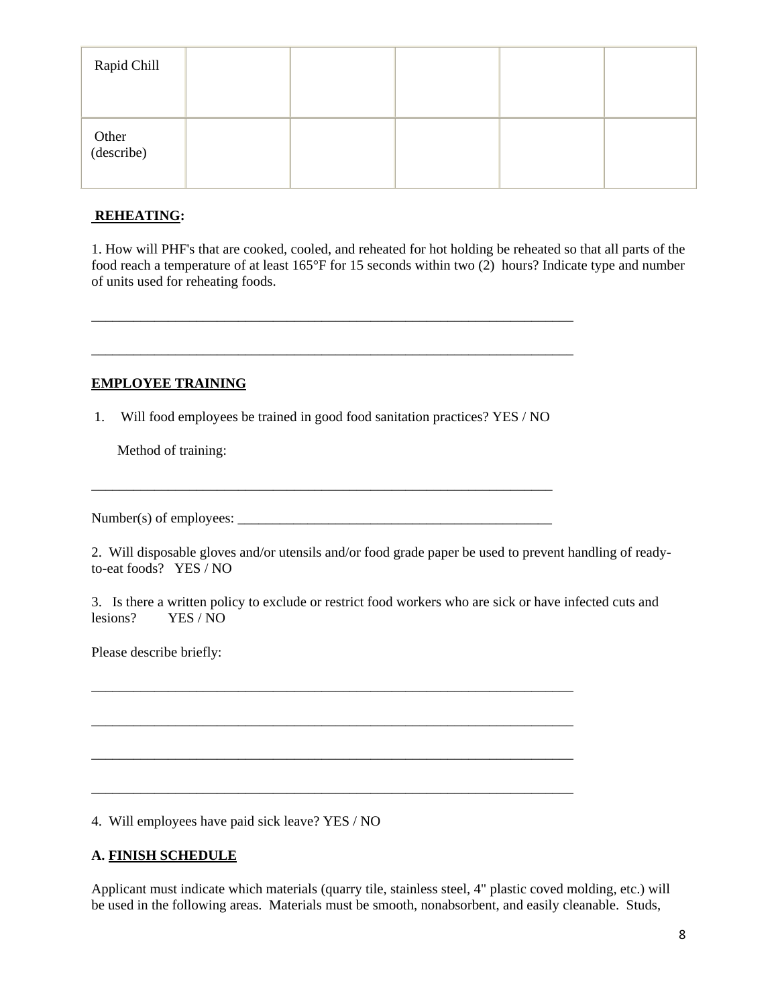| Rapid Chill         |  |  |  |
|---------------------|--|--|--|
| Other<br>(describe) |  |  |  |

#### **REHEATING:**

1. How will PHF's that are cooked, cooled, and reheated for hot holding be reheated so that all parts of the food reach a temperature of at least 165°F for 15 seconds within two (2) hours? Indicate type and number of units used for reheating foods.

## **EMPLOYEE TRAINING**

1. Will food employees be trained in good food sanitation practices? YES / NO

\_\_\_\_\_\_\_\_\_\_\_\_\_\_\_\_\_\_\_\_\_\_\_\_\_\_\_\_\_\_\_\_\_\_\_\_\_\_\_\_\_\_\_\_\_\_\_\_\_\_\_\_\_\_\_\_\_\_\_\_\_\_\_\_\_\_

\_\_\_\_\_\_\_\_\_\_\_\_\_\_\_\_\_\_\_\_\_\_\_\_\_\_\_\_\_\_\_\_\_\_\_\_\_\_\_\_\_\_\_\_\_\_\_\_\_\_\_\_\_\_\_\_\_\_\_\_\_\_\_\_\_\_\_\_\_

\_\_\_\_\_\_\_\_\_\_\_\_\_\_\_\_\_\_\_\_\_\_\_\_\_\_\_\_\_\_\_\_\_\_\_\_\_\_\_\_\_\_\_\_\_\_\_\_\_\_\_\_\_\_\_\_\_\_\_\_\_\_\_\_\_\_\_\_\_

\_\_\_\_\_\_\_\_\_\_\_\_\_\_\_\_\_\_\_\_\_\_\_\_\_\_\_\_\_\_\_\_\_\_\_\_\_\_\_\_\_\_\_\_\_\_\_\_\_\_\_\_\_\_\_\_\_\_\_\_\_\_\_\_\_\_\_\_\_

\_\_\_\_\_\_\_\_\_\_\_\_\_\_\_\_\_\_\_\_\_\_\_\_\_\_\_\_\_\_\_\_\_\_\_\_\_\_\_\_\_\_\_\_\_\_\_\_\_\_\_\_\_\_\_\_\_\_\_\_\_\_\_\_\_\_\_\_\_

\_\_\_\_\_\_\_\_\_\_\_\_\_\_\_\_\_\_\_\_\_\_\_\_\_\_\_\_\_\_\_\_\_\_\_\_\_\_\_\_\_\_\_\_\_\_\_\_\_\_\_\_\_\_\_\_\_\_\_\_\_\_\_\_\_\_\_\_\_

\_\_\_\_\_\_\_\_\_\_\_\_\_\_\_\_\_\_\_\_\_\_\_\_\_\_\_\_\_\_\_\_\_\_\_\_\_\_\_\_\_\_\_\_\_\_\_\_\_\_\_\_\_\_\_\_\_\_\_\_\_\_\_\_\_\_\_\_\_

Method of training:

Number(s) of employees: \_\_\_\_\_\_\_\_\_\_\_\_\_\_\_\_\_\_\_\_\_\_\_\_\_\_\_\_\_\_\_\_\_\_\_\_\_\_\_\_\_\_\_\_\_

2. Will disposable gloves and/or utensils and/or food grade paper be used to prevent handling of readyto-eat foods? YES / NO

3. Is there a written policy to exclude or restrict food workers who are sick or have infected cuts and lesions? YES / NO

Please describe briefly:

4. Will employees have paid sick leave? YES / NO

# **A. FINISH SCHEDULE**

Applicant must indicate which materials (quarry tile, stainless steel, 4" plastic coved molding, etc.) will be used in the following areas. Materials must be smooth, nonabsorbent, and easily cleanable. Studs,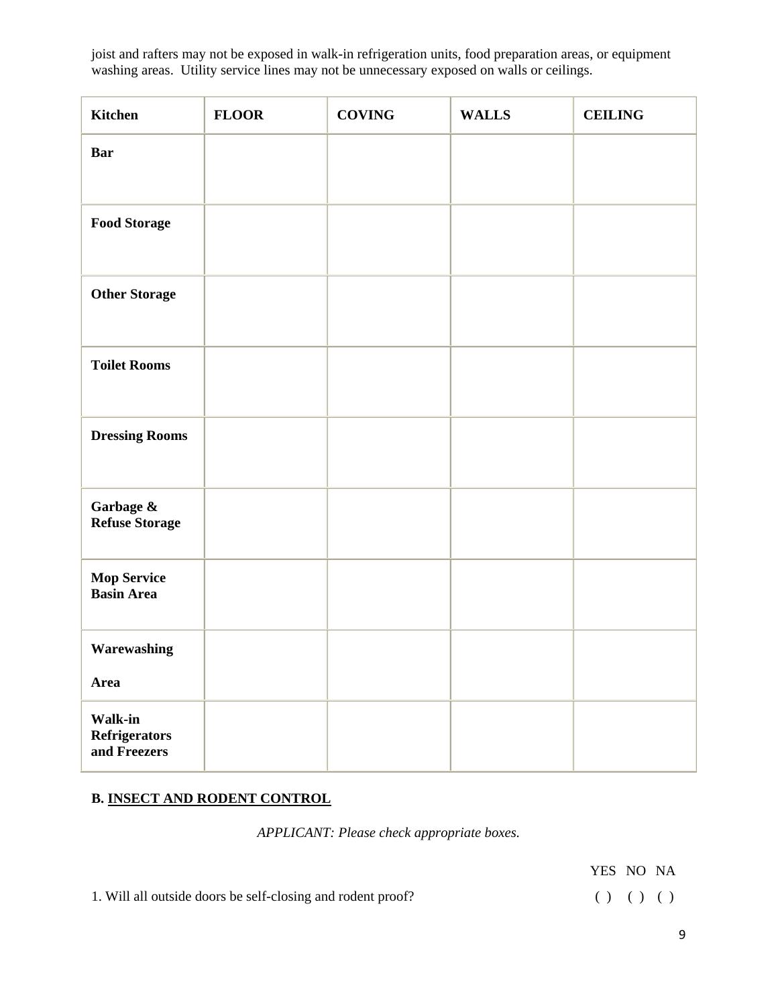joist and rafters may not be exposed in walk-in refrigeration units, food preparation areas, or equipment washing areas. Utility service lines may not be unnecessary exposed on walls or ceilings.

| <b>Kitchen</b>                                  | <b>FLOOR</b> | <b>COVING</b> | <b>WALLS</b> | <b>CEILING</b> |
|-------------------------------------------------|--------------|---------------|--------------|----------------|
| <b>Bar</b>                                      |              |               |              |                |
|                                                 |              |               |              |                |
| <b>Food Storage</b>                             |              |               |              |                |
|                                                 |              |               |              |                |
| <b>Other Storage</b>                            |              |               |              |                |
| <b>Toilet Rooms</b>                             |              |               |              |                |
|                                                 |              |               |              |                |
| <b>Dressing Rooms</b>                           |              |               |              |                |
|                                                 |              |               |              |                |
| Garbage $\&$<br>Refuse Storage                  |              |               |              |                |
| <b>Mop Service<br/>Basin Area</b>               |              |               |              |                |
| Warewashing                                     |              |               |              |                |
| Area                                            |              |               |              |                |
| Walk-in<br><b>Refrigerators</b><br>and Freezers |              |               |              |                |

# **B. INSECT AND RODENT CONTROL**

*APPLICANT: Please check appropriate boxes.*

|                                                             | YES NO NA   |  |  |
|-------------------------------------------------------------|-------------|--|--|
| 1. Will all outside doors be self-closing and rodent proof? | ( ) ( ) ( ) |  |  |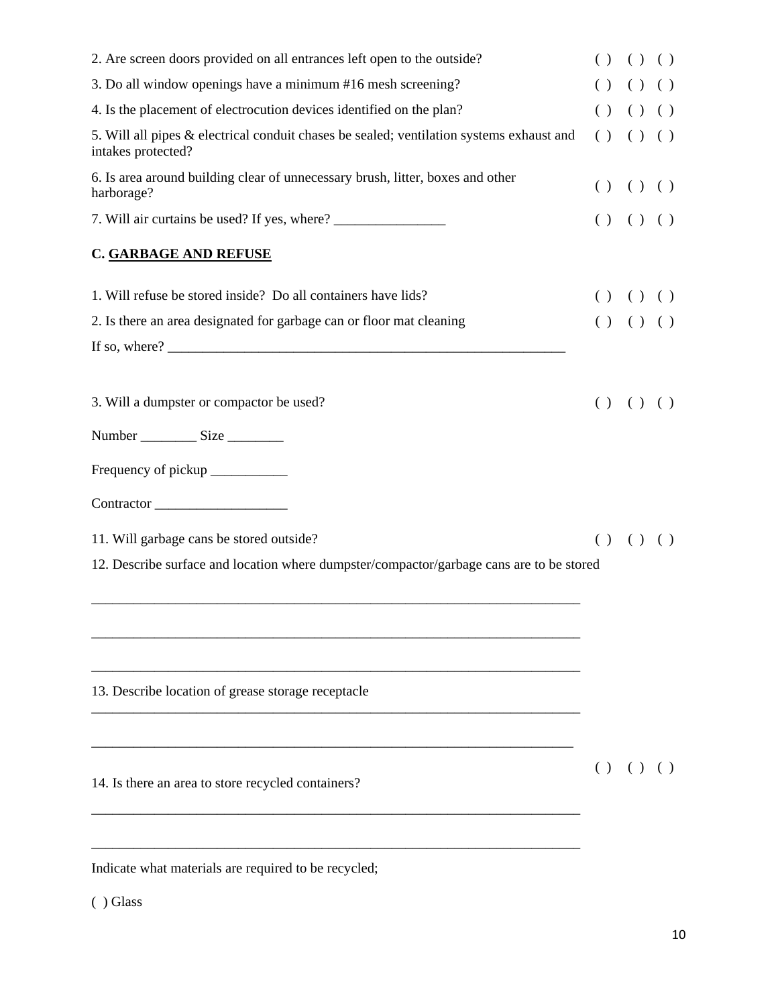| 2. Are screen doors provided on all entrances left open to the outside?                                        |  |  | () () ()      |
|----------------------------------------------------------------------------------------------------------------|--|--|---------------|
| 3. Do all window openings have a minimum #16 mesh screening?                                                   |  |  | $( ) ( ) ( )$ |
| 4. Is the placement of electrocution devices identified on the plan?                                           |  |  | $( ) ( ) ( )$ |
| 5. Will all pipes & electrical conduit chases be sealed; ventilation systems exhaust and<br>intakes protected? |  |  | () () ()      |
| 6. Is area around building clear of unnecessary brush, litter, boxes and other<br>harborage?                   |  |  | $( ) ( ) ( )$ |
|                                                                                                                |  |  | $( ) ( ) ( )$ |
| <b>C. GARBAGE AND REFUSE</b>                                                                                   |  |  |               |
| 1. Will refuse be stored inside? Do all containers have lids?                                                  |  |  | $( ) ( ) ( )$ |
| 2. Is there an area designated for garbage can or floor mat cleaning                                           |  |  | () () ()      |
|                                                                                                                |  |  |               |
| 3. Will a dumpster or compactor be used?                                                                       |  |  | $( ) ( ) ( )$ |
| Number ________________ Size _____________                                                                     |  |  |               |
|                                                                                                                |  |  |               |
| Contractor                                                                                                     |  |  |               |
| 11. Will garbage cans be stored outside?                                                                       |  |  | () () ()      |
| 12. Describe surface and location where dumpster/compactor/garbage cans are to be stored                       |  |  |               |
|                                                                                                                |  |  |               |
| 13. Describe location of grease storage receptacle                                                             |  |  |               |
|                                                                                                                |  |  | () () ()      |
| 14. Is there an area to store recycled containers?                                                             |  |  |               |
| Indicate what materials are required to be recycled;                                                           |  |  |               |

( ) Glass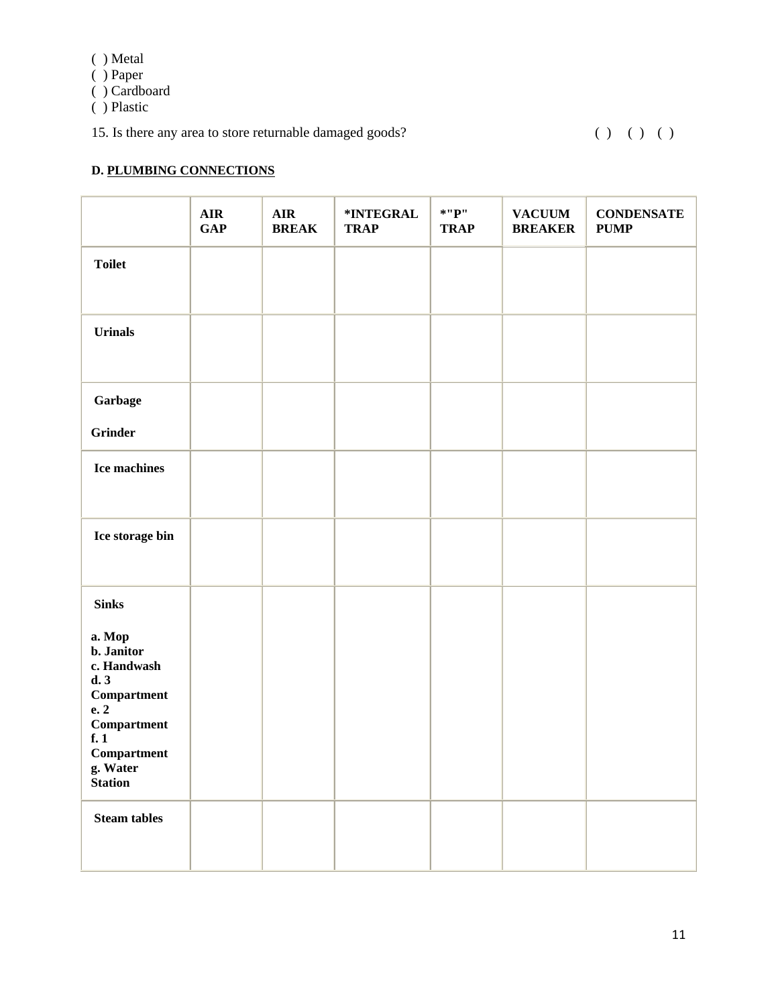|  | Metal |
|--|-------|
|  |       |

( ) Paper

( ) Cardboard

( ) Plastic

15. Is there any area to store returnable damaged goods? ( ) ( ) ( ) ( )

# **D. PLUMBING CONNECTIONS**

|                                                                                                                                                                                                                                                                      | AIR<br><b>GAP</b> | <b>AIR</b><br><b>BREAK</b> | *INTEGRAL<br><b>TRAP</b> | $*$ "P"<br><b>TRAP</b> | <b>VACUUM</b><br><b>BREAKER</b> | <b>CONDENSATE</b><br><b>PUMP</b> |
|----------------------------------------------------------------------------------------------------------------------------------------------------------------------------------------------------------------------------------------------------------------------|-------------------|----------------------------|--------------------------|------------------------|---------------------------------|----------------------------------|
| <b>Toilet</b>                                                                                                                                                                                                                                                        |                   |                            |                          |                        |                                 |                                  |
| Urinals                                                                                                                                                                                                                                                              |                   |                            |                          |                        |                                 |                                  |
| Garbage<br><b>Grinder</b>                                                                                                                                                                                                                                            |                   |                            |                          |                        |                                 |                                  |
| Ice machines                                                                                                                                                                                                                                                         |                   |                            |                          |                        |                                 |                                  |
| Ice storage bin                                                                                                                                                                                                                                                      |                   |                            |                          |                        |                                 |                                  |
| <b>Sinks</b><br>a. Mop<br>b. Janitor<br>c. Handwash<br>d.3<br>$\begin{minipage}{.4\linewidth} Compartment \end{minipage}$<br>e. 2<br>$\begin{minipage}{.4\linewidth} Compartment \end{minipage} \vspace{-0.5em}$<br>f.1<br>Compartment<br>g. Water<br><b>Station</b> |                   |                            |                          |                        |                                 |                                  |
| <b>Steam tables</b>                                                                                                                                                                                                                                                  |                   |                            |                          |                        |                                 |                                  |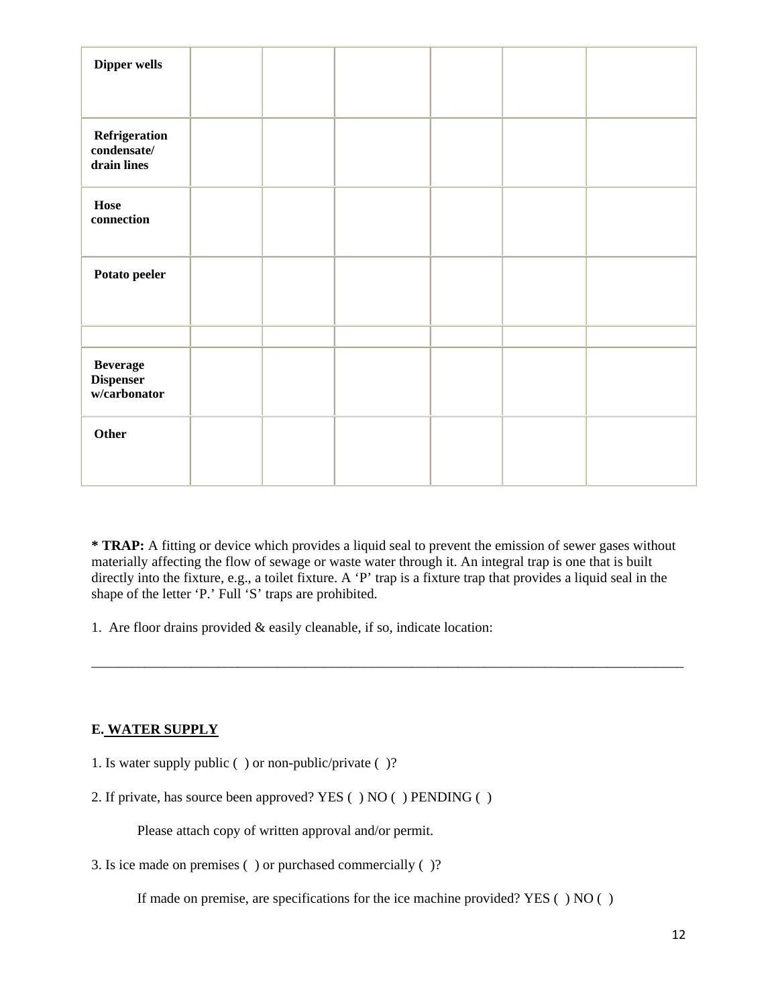| Dipper wells                                        |  |  |  |
|-----------------------------------------------------|--|--|--|
|                                                     |  |  |  |
|                                                     |  |  |  |
| Refrigeration<br>condensate/<br>drain lines         |  |  |  |
| Hose<br>connection                                  |  |  |  |
| Potato peeler                                       |  |  |  |
|                                                     |  |  |  |
| <b>Beverage</b><br><b>Dispenser</b><br>w/carbonator |  |  |  |
| Other                                               |  |  |  |

**\* TRAP:** A fitting or device which provides a liquid seal to prevent the emission of sewer gases without materially affecting the flow of sewage or waste water through it. An integral trap is one that is built directly into the fixture, e.g., a toilet fixture. A 'P' trap is a fixture trap that provides a liquid seal in the shape of the letter 'P.' Full 'S' traps are prohibited.

\_\_\_\_\_\_\_\_\_\_\_\_\_\_\_\_\_\_\_\_\_\_\_\_\_\_\_\_\_\_\_\_\_\_\_\_\_\_\_\_\_\_\_\_\_\_\_\_\_\_\_\_\_\_\_\_\_\_\_\_\_\_\_\_\_\_\_\_\_\_\_\_\_\_\_\_\_\_\_\_\_\_\_\_\_\_\_\_

1. Are floor drains provided & easily cleanable, if so, indicate location:

# **E. WATER SUPPLY**

- 1. Is water supply public ( ) or non-public/private ( )?
- 2. If private, has source been approved? YES ( ) NO ( ) PENDING ( )

Please attach copy of written approval and/or permit.

3. Is ice made on premises ( ) or purchased commercially ( )?

If made on premise, are specifications for the ice machine provided? YES ( ) NO ( )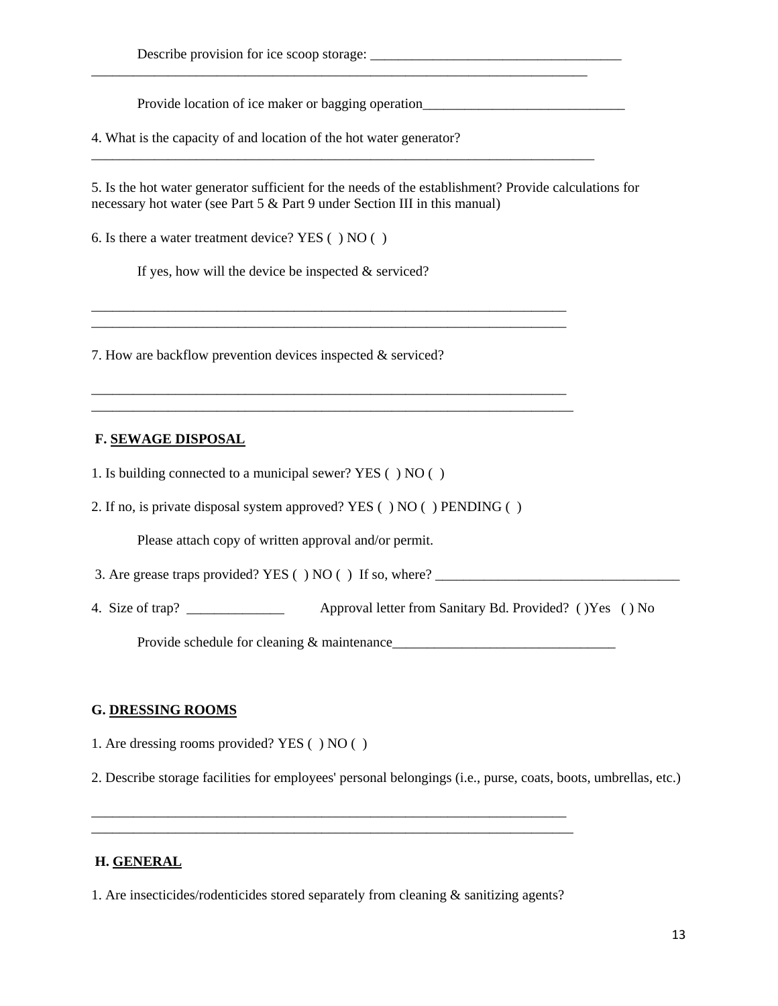Provide location of ice maker or bagging operation\_\_\_\_\_\_\_\_\_\_\_\_\_\_\_\_\_\_\_\_\_\_\_\_\_\_\_\_\_\_

4. What is the capacity of and location of the hot water generator?

5. Is the hot water generator sufficient for the needs of the establishment? Provide calculations for necessary hot water (see Part 5 & Part 9 under Section III in this manual)

\_\_\_\_\_\_\_\_\_\_\_\_\_\_\_\_\_\_\_\_\_\_\_\_\_\_\_\_\_\_\_\_\_\_\_\_\_\_\_\_\_\_\_\_\_\_\_\_\_\_\_\_\_\_\_\_\_\_\_\_\_\_\_\_\_\_\_\_\_\_\_

\_\_\_\_\_\_\_\_\_\_\_\_\_\_\_\_\_\_\_\_\_\_\_\_\_\_\_\_\_\_\_\_\_\_\_\_\_\_\_\_\_\_\_\_\_\_\_\_\_\_\_\_\_\_\_\_\_\_\_\_\_\_\_\_\_\_\_\_\_\_\_\_

\_\_\_\_\_\_\_\_\_\_\_\_\_\_\_\_\_\_\_\_\_\_\_\_\_\_\_\_\_\_\_\_\_\_\_\_\_\_\_\_\_\_\_\_\_\_\_\_\_\_\_\_\_\_\_\_\_\_\_\_\_\_\_\_\_\_\_\_ \_\_\_\_\_\_\_\_\_\_\_\_\_\_\_\_\_\_\_\_\_\_\_\_\_\_\_\_\_\_\_\_\_\_\_\_\_\_\_\_\_\_\_\_\_\_\_\_\_\_\_\_\_\_\_\_\_\_\_\_\_\_\_\_\_\_\_\_

\_\_\_\_\_\_\_\_\_\_\_\_\_\_\_\_\_\_\_\_\_\_\_\_\_\_\_\_\_\_\_\_\_\_\_\_\_\_\_\_\_\_\_\_\_\_\_\_\_\_\_\_\_\_\_\_\_\_\_\_\_\_\_\_\_\_\_\_ \_\_\_\_\_\_\_\_\_\_\_\_\_\_\_\_\_\_\_\_\_\_\_\_\_\_\_\_\_\_\_\_\_\_\_\_\_\_\_\_\_\_\_\_\_\_\_\_\_\_\_\_\_\_\_\_\_\_\_\_\_\_\_\_\_\_\_\_\_

6. Is there a water treatment device? YES ( ) NO ( )

If yes, how will the device be inspected  $&$  serviced?

7. How are backflow prevention devices inspected & serviced?

# **F. SEWAGE DISPOSAL**

- 1. Is building connected to a municipal sewer? YES ( ) NO ( )
- 2. If no, is private disposal system approved? YES ( ) NO ( ) PENDING ( )

Please attach copy of written approval and/or permit.

3. Are grease traps provided? YES  $( )$  NO  $( )$  If so, where?

4. Size of trap? \_\_\_\_\_\_\_\_\_\_\_\_\_\_ Approval letter from Sanitary Bd. Provided? ( )Yes ( ) No

Provide schedule for cleaning & maintenance\_\_\_\_\_\_\_\_\_\_\_\_\_\_\_\_\_\_\_\_\_\_\_\_\_\_\_\_\_\_\_\_

#### **G. DRESSING ROOMS**

1. Are dressing rooms provided? YES ( ) NO ( )

2. Describe storage facilities for employees' personal belongings (i.e., purse, coats, boots, umbrellas, etc.)

#### **H. GENERAL**

1. Are insecticides/rodenticides stored separately from cleaning & sanitizing agents?

\_\_\_\_\_\_\_\_\_\_\_\_\_\_\_\_\_\_\_\_\_\_\_\_\_\_\_\_\_\_\_\_\_\_\_\_\_\_\_\_\_\_\_\_\_\_\_\_\_\_\_\_\_\_\_\_\_\_\_\_\_\_\_\_\_\_\_\_ \_\_\_\_\_\_\_\_\_\_\_\_\_\_\_\_\_\_\_\_\_\_\_\_\_\_\_\_\_\_\_\_\_\_\_\_\_\_\_\_\_\_\_\_\_\_\_\_\_\_\_\_\_\_\_\_\_\_\_\_\_\_\_\_\_\_\_\_\_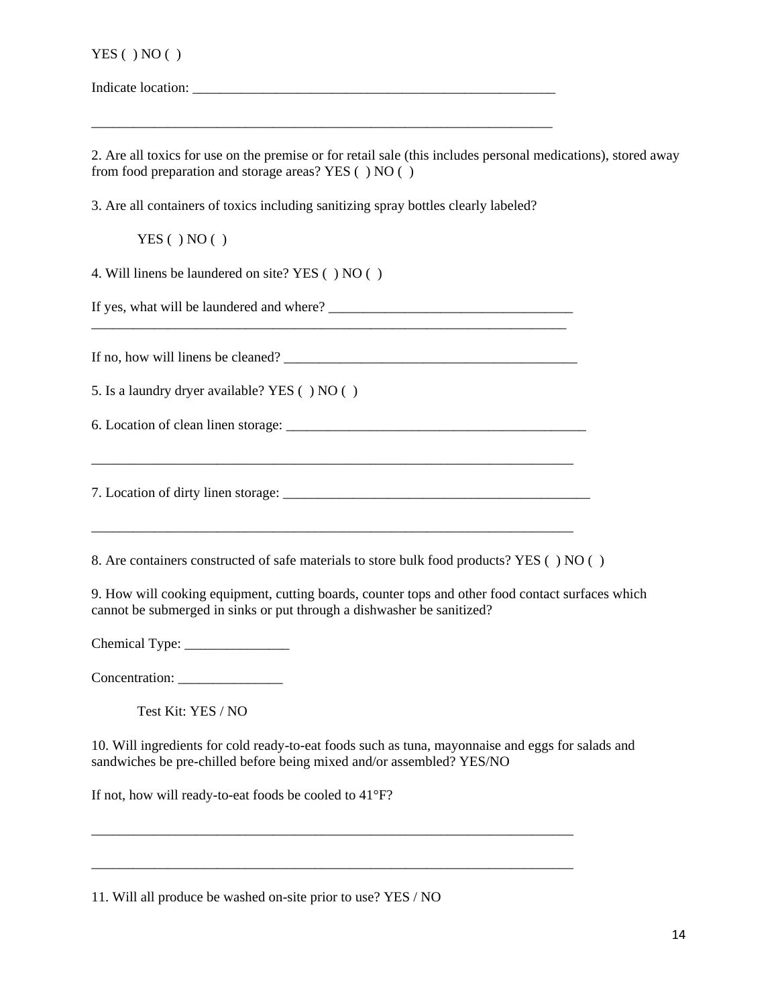| YES( ) NO( ) |  |
|--------------|--|
|              |  |

Indicate location: \_\_\_\_\_\_\_\_\_\_\_\_\_\_\_\_\_\_\_\_\_\_\_\_\_\_\_\_\_\_\_\_\_\_\_\_\_\_\_\_\_\_\_\_\_\_\_\_\_\_\_\_

2. Are all toxics for use on the premise or for retail sale (this includes personal medications), stored away from food preparation and storage areas? YES ( ) NO ( )

3. Are all containers of toxics including sanitizing spray bottles clearly labeled?

\_\_\_\_\_\_\_\_\_\_\_\_\_\_\_\_\_\_\_\_\_\_\_\_\_\_\_\_\_\_\_\_\_\_\_\_\_\_\_\_\_\_\_\_\_\_\_\_\_\_\_\_\_\_\_\_\_\_\_\_\_\_\_\_\_\_

 $YES( ) NO( )$ 

4. Will linens be laundered on site? YES ( ) NO ( )

If yes, what will be laundered and where? \_\_\_\_\_\_\_\_\_\_\_\_\_\_\_\_\_\_\_\_\_\_\_\_\_\_\_\_\_\_\_\_\_\_\_ \_\_\_\_\_\_\_\_\_\_\_\_\_\_\_\_\_\_\_\_\_\_\_\_\_\_\_\_\_\_\_\_\_\_\_\_\_\_\_\_\_\_\_\_\_\_\_\_\_\_\_\_\_\_\_\_\_\_\_\_\_\_\_\_\_\_\_\_

If no, how will linens be cleaned? \_\_\_\_\_\_\_\_\_\_\_\_\_\_\_\_\_\_\_\_\_\_\_\_\_\_\_\_\_\_\_\_\_\_\_\_\_\_\_\_\_\_

5. Is a laundry dryer available? YES ( ) NO ( )

6. Location of clean linen storage: \_\_\_\_\_\_\_\_\_\_\_\_\_\_\_\_\_\_\_\_\_\_\_\_\_\_\_\_\_\_\_\_\_\_\_\_\_\_\_\_\_\_\_

7. Location of dirty linen storage: \_\_\_\_\_\_\_\_\_\_\_\_\_\_\_\_\_\_\_\_\_\_\_\_\_\_\_\_\_\_\_\_\_\_\_\_\_\_\_\_\_\_\_\_

\_\_\_\_\_\_\_\_\_\_\_\_\_\_\_\_\_\_\_\_\_\_\_\_\_\_\_\_\_\_\_\_\_\_\_\_\_\_\_\_\_\_\_\_\_\_\_\_\_\_\_\_\_\_\_\_\_\_\_\_\_\_\_\_\_\_\_\_\_

\_\_\_\_\_\_\_\_\_\_\_\_\_\_\_\_\_\_\_\_\_\_\_\_\_\_\_\_\_\_\_\_\_\_\_\_\_\_\_\_\_\_\_\_\_\_\_\_\_\_\_\_\_\_\_\_\_\_\_\_\_\_\_\_\_\_\_\_\_

8. Are containers constructed of safe materials to store bulk food products? YES ( ) NO ( )

9. How will cooking equipment, cutting boards, counter tops and other food contact surfaces which cannot be submerged in sinks or put through a dishwasher be sanitized?

Chemical Type: \_\_\_\_\_\_\_\_\_\_\_\_\_\_\_

Concentration: \_\_\_\_\_\_\_\_\_\_\_\_\_\_\_

Test Kit: YES / NO

10. Will ingredients for cold ready-to-eat foods such as tuna, mayonnaise and eggs for salads and sandwiches be pre-chilled before being mixed and/or assembled? YES/NO

\_\_\_\_\_\_\_\_\_\_\_\_\_\_\_\_\_\_\_\_\_\_\_\_\_\_\_\_\_\_\_\_\_\_\_\_\_\_\_\_\_\_\_\_\_\_\_\_\_\_\_\_\_\_\_\_\_\_\_\_\_\_\_\_\_\_\_\_\_

\_\_\_\_\_\_\_\_\_\_\_\_\_\_\_\_\_\_\_\_\_\_\_\_\_\_\_\_\_\_\_\_\_\_\_\_\_\_\_\_\_\_\_\_\_\_\_\_\_\_\_\_\_\_\_\_\_\_\_\_\_\_\_\_\_\_\_\_\_

If not, how will ready-to-eat foods be cooled to 41°F?

11. Will all produce be washed on-site prior to use? YES / NO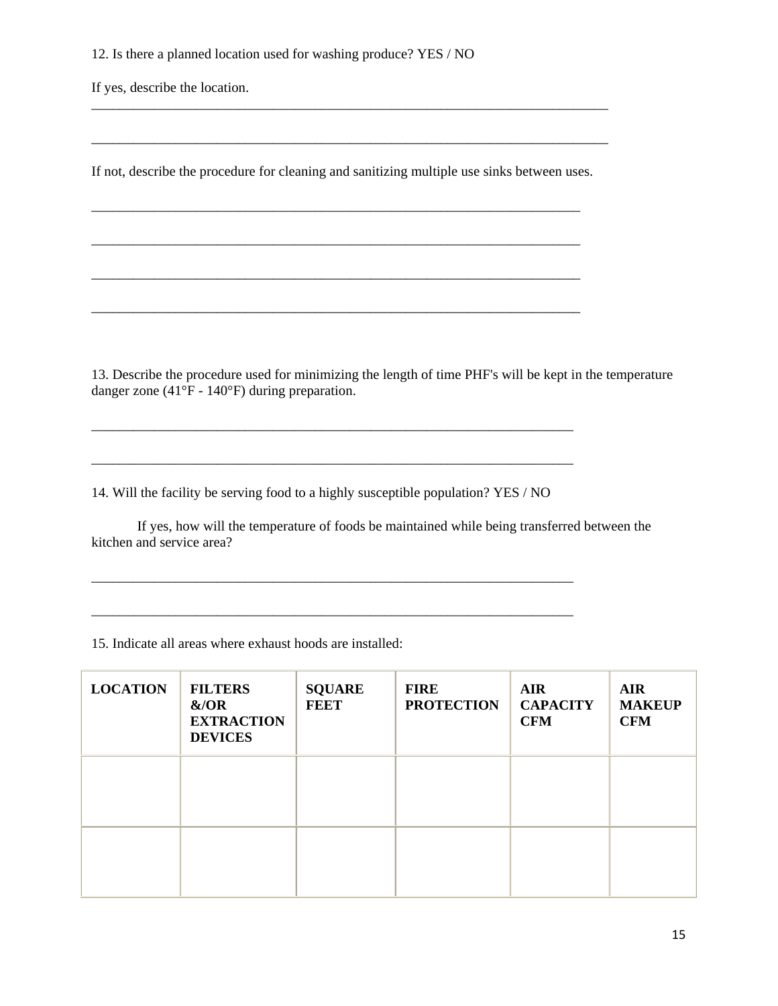12. Is there a planned location used for washing produce? YES / NO

If yes, describe the location.

If not, describe the procedure for cleaning and sanitizing multiple use sinks between uses.

\_\_\_\_\_\_\_\_\_\_\_\_\_\_\_\_\_\_\_\_\_\_\_\_\_\_\_\_\_\_\_\_\_\_\_\_\_\_\_\_\_\_\_\_\_\_\_\_\_\_\_\_\_\_\_\_\_\_\_\_\_\_\_\_\_\_\_\_\_\_

\_\_\_\_\_\_\_\_\_\_\_\_\_\_\_\_\_\_\_\_\_\_\_\_\_\_\_\_\_\_\_\_\_\_\_\_\_\_\_\_\_\_\_\_\_\_\_\_\_\_\_\_\_\_\_\_\_\_\_\_\_\_\_\_\_\_\_\_\_\_

\_\_\_\_\_\_\_\_\_\_\_\_\_\_\_\_\_\_\_\_\_\_\_\_\_\_\_\_\_\_\_\_\_\_\_\_\_\_\_\_\_\_\_\_\_\_\_\_\_\_\_\_\_\_\_\_\_\_\_\_\_\_\_\_\_\_\_\_\_\_\_\_\_\_

\_\_\_\_\_\_\_\_\_\_\_\_\_\_\_\_\_\_\_\_\_\_\_\_\_\_\_\_\_\_\_\_\_\_\_\_\_\_\_\_\_\_\_\_\_\_\_\_\_\_\_\_\_\_\_\_\_\_\_\_\_\_\_\_\_\_\_\_\_\_\_\_\_\_

13. Describe the procedure used for minimizing the length of time PHF's will be kept in the temperature danger zone (41°F - 140°F) during preparation.

\_\_\_\_\_\_\_\_\_\_\_\_\_\_\_\_\_\_\_\_\_\_\_\_\_\_\_\_\_\_\_\_\_\_\_\_\_\_\_\_\_\_\_\_\_\_\_\_\_\_\_\_\_\_\_\_\_\_\_\_\_\_\_\_\_\_\_\_\_\_

14. Will the facility be serving food to a highly susceptible population? YES / NO

\_\_\_\_\_\_\_\_\_\_\_\_\_\_\_\_\_\_\_\_\_\_\_\_\_\_\_\_\_\_\_\_\_\_\_\_\_\_\_\_\_\_\_\_\_\_\_\_\_\_\_\_\_\_\_\_\_\_\_\_\_\_\_\_\_\_\_\_\_

\_\_\_\_\_\_\_\_\_\_\_\_\_\_\_\_\_\_\_\_\_\_\_\_\_\_\_\_\_\_\_\_\_\_\_\_\_\_\_\_\_\_\_\_\_\_\_\_\_\_\_\_\_\_\_\_\_\_\_\_\_\_\_\_\_\_\_\_\_

\_\_\_\_\_\_\_\_\_\_\_\_\_\_\_\_\_\_\_\_\_\_\_\_\_\_\_\_\_\_\_\_\_\_\_\_\_\_\_\_\_\_\_\_\_\_\_\_\_\_\_\_\_\_\_\_\_\_\_\_\_\_\_\_\_\_\_\_\_

\_\_\_\_\_\_\_\_\_\_\_\_\_\_\_\_\_\_\_\_\_\_\_\_\_\_\_\_\_\_\_\_\_\_\_\_\_\_\_\_\_\_\_\_\_\_\_\_\_\_\_\_\_\_\_\_\_\_\_\_\_\_\_\_\_\_\_\_\_

 If yes, how will the temperature of foods be maintained while being transferred between the kitchen and service area?

#### 15. Indicate all areas where exhaust hoods are installed:

| <b>LOCATION</b> | <b>FILTERS</b><br>&/OR<br><b>EXTRACTION</b><br><b>DEVICES</b> | <b>SQUARE</b><br><b>FEET</b> | <b>FIRE</b><br><b>PROTECTION</b> | <b>AIR</b><br><b>CAPACITY</b><br><b>CFM</b> | <b>AIR</b><br><b>MAKEUP</b><br><b>CFM</b> |
|-----------------|---------------------------------------------------------------|------------------------------|----------------------------------|---------------------------------------------|-------------------------------------------|
|                 |                                                               |                              |                                  |                                             |                                           |
|                 |                                                               |                              |                                  |                                             |                                           |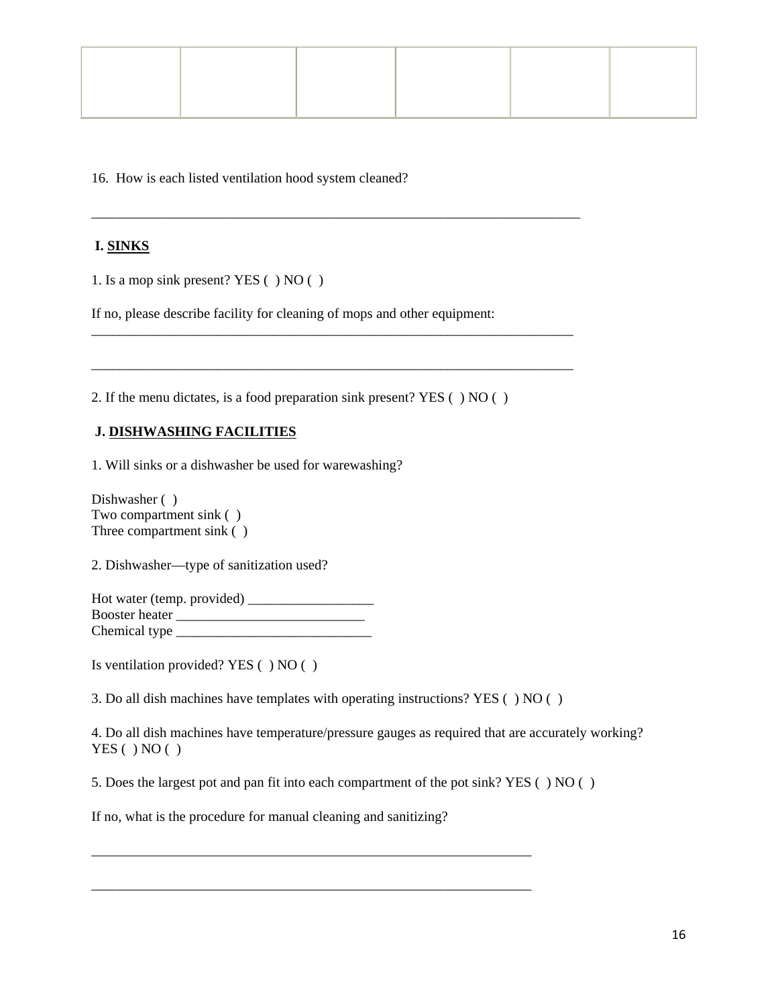16. How is each listed ventilation hood system cleaned?

# **I. SINKS**

1. Is a mop sink present? YES ( ) NO ( )

If no, please describe facility for cleaning of mops and other equipment:

\_\_\_\_\_\_\_\_\_\_\_\_\_\_\_\_\_\_\_\_\_\_\_\_\_\_\_\_\_\_\_\_\_\_\_\_\_\_\_\_\_\_\_\_\_\_\_\_\_\_\_\_\_\_\_\_\_\_\_\_\_\_\_\_\_\_\_\_\_\_

\_\_\_\_\_\_\_\_\_\_\_\_\_\_\_\_\_\_\_\_\_\_\_\_\_\_\_\_\_\_\_\_\_\_\_\_\_\_\_\_\_\_\_\_\_\_\_\_\_\_\_\_\_\_\_\_\_\_\_\_\_\_\_\_\_\_\_\_\_

\_\_\_\_\_\_\_\_\_\_\_\_\_\_\_\_\_\_\_\_\_\_\_\_\_\_\_\_\_\_\_\_\_\_\_\_\_\_\_\_\_\_\_\_\_\_\_\_\_\_\_\_\_\_\_\_\_\_\_\_\_\_\_\_\_\_\_\_\_

2. If the menu dictates, is a food preparation sink present? YES ( ) NO ( )

## **J. DISHWASHING FACILITIES**

1. Will sinks or a dishwasher be used for warewashing?

Dishwasher () Two compartment sink ( ) Three compartment sink ( )

2. Dishwasher—type of sanitization used?

Hot water (temp. provided) \_\_\_\_\_\_\_\_\_\_\_\_\_\_\_\_\_\_ Booster heater \_\_\_\_\_\_\_\_\_\_\_\_\_\_\_\_\_\_\_\_\_\_\_\_\_\_\_ Chemical type \_\_\_\_\_\_\_\_\_\_\_\_\_\_\_\_\_\_\_\_\_\_\_\_\_\_\_\_

Is ventilation provided? YES ( ) NO ( )

3. Do all dish machines have templates with operating instructions? YES ( ) NO ( )

4. Do all dish machines have temperature/pressure gauges as required that are accurately working?  $YES( ) NO( )$ 

5. Does the largest pot and pan fit into each compartment of the pot sink? YES ( ) NO ( )

\_\_\_\_\_\_\_\_\_\_\_\_\_\_\_\_\_\_\_\_\_\_\_\_\_\_\_\_\_\_\_\_\_\_\_\_\_\_\_\_\_\_\_\_\_\_\_\_\_\_\_\_\_\_\_\_\_\_\_\_\_\_\_

\_\_\_\_\_\_\_\_\_\_\_\_\_\_\_\_\_\_\_\_\_\_\_\_\_\_\_\_\_\_\_\_\_\_\_\_\_\_\_\_\_\_\_\_\_\_\_\_\_\_\_\_\_\_\_\_\_\_\_\_\_\_\_

If no, what is the procedure for manual cleaning and sanitizing?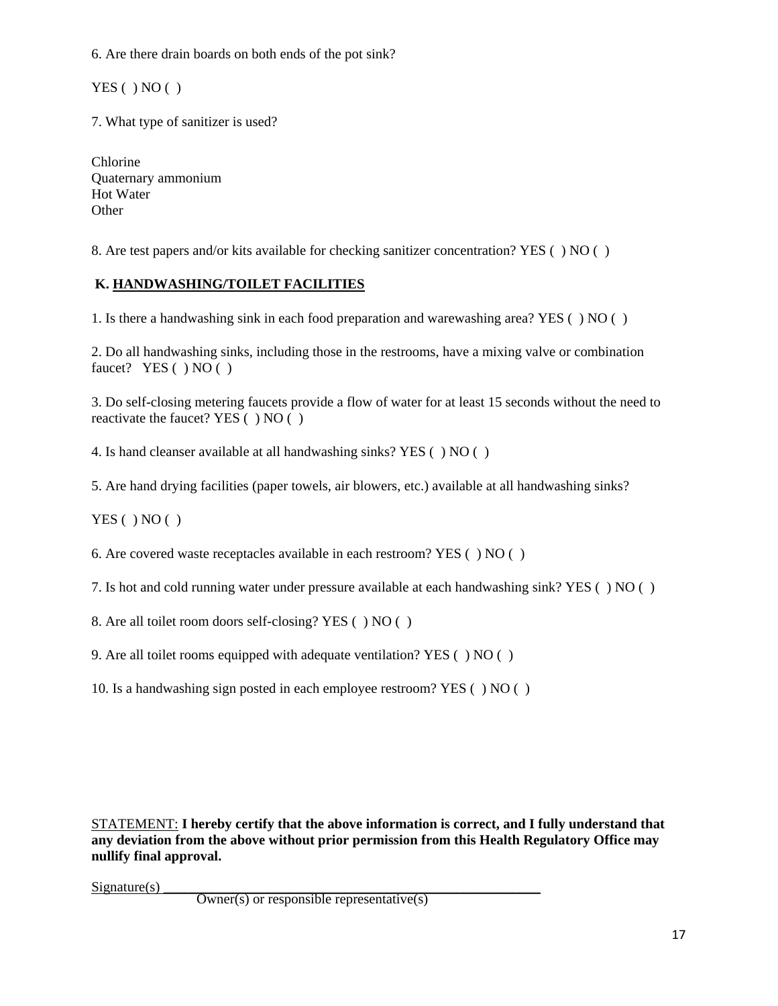6. Are there drain boards on both ends of the pot sink?

 $YES( ) NO( )$ 

7. What type of sanitizer is used?

Chlorine Quaternary ammonium Hot Water **Other** 

8. Are test papers and/or kits available for checking sanitizer concentration? YES ( ) NO ( )

# **K. HANDWASHING/TOILET FACILITIES**

1. Is there a handwashing sink in each food preparation and warewashing area? YES ( ) NO ( )

2. Do all handwashing sinks, including those in the restrooms, have a mixing valve or combination faucet? YES () NO ()

3. Do self-closing metering faucets provide a flow of water for at least 15 seconds without the need to reactivate the faucet? YES ( ) NO ( )

4. Is hand cleanser available at all handwashing sinks? YES ( ) NO ( )

5. Are hand drying facilities (paper towels, air blowers, etc.) available at all handwashing sinks?

 $YES( ) NO( )$ 

6. Are covered waste receptacles available in each restroom? YES ( ) NO ( )

7. Is hot and cold running water under pressure available at each handwashing sink? YES ( ) NO ( )

8. Are all toilet room doors self-closing? YES ( ) NO ( )

9. Are all toilet rooms equipped with adequate ventilation? YES ( ) NO ( )

10. Is a handwashing sign posted in each employee restroom? YES ( ) NO ( )

STATEMENT: **I hereby certify that the above information is correct, and I fully understand that any deviation from the above without prior permission from this Health Regulatory Office may nullify final approval.**

 $Signature(s)$   $\qquad \qquad$  Owner(s) or responsible representative(s)